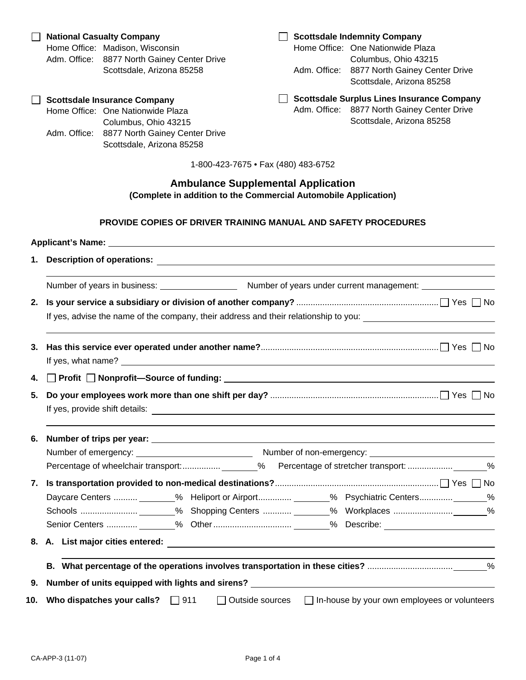# **Ambulance Supplemental Application (Complete in addition to the Commercial Automobile Application)**

## **PROVIDE COPIES OF DRIVER TRAINING MANUAL AND SAFETY PROCEDURES**

|    | Applicant's Name: University of Applicant's Name: University of Applicant's Name: University of Applicant Control of Applicant Control of Applicant Control of Applicant Control of Applicant Control of Applicant Control of        |  |  |  |  |
|----|--------------------------------------------------------------------------------------------------------------------------------------------------------------------------------------------------------------------------------------|--|--|--|--|
|    |                                                                                                                                                                                                                                      |  |  |  |  |
|    |                                                                                                                                                                                                                                      |  |  |  |  |
| 2. |                                                                                                                                                                                                                                      |  |  |  |  |
|    | If yes, advise the name of the company, their address and their relationship to you: _________________________                                                                                                                       |  |  |  |  |
| 3. | If yes, what name? <u>example and the set of the set of the set of the set of the set of the set of the set of the set of the set of the set of the set of the set of the set of the set of the set of the set of the set of the</u> |  |  |  |  |
| 4. | □ Profit □ Nonprofit-Source of funding: University Profit Discover Profit Discover Profit Discover Profit Discover Profit Discover Profit Discover Profit Discover Profit Discover Profit Discover Profit Discover Profit Dis        |  |  |  |  |
| 5. | If yes, provide shift details: <u>experience and contract and contract and contract and contract and contract and contract and contract and contract and contract and contract and contract and contract and contract and contra</u> |  |  |  |  |
| 6. |                                                                                                                                                                                                                                      |  |  |  |  |
|    |                                                                                                                                                                                                                                      |  |  |  |  |
|    |                                                                                                                                                                                                                                      |  |  |  |  |
|    |                                                                                                                                                                                                                                      |  |  |  |  |
|    | Daycare Centers  ________% Heliport or Airport _______% Psychiatric Centers _______%                                                                                                                                                 |  |  |  |  |
|    |                                                                                                                                                                                                                                      |  |  |  |  |
|    |                                                                                                                                                                                                                                      |  |  |  |  |
|    |                                                                                                                                                                                                                                      |  |  |  |  |
|    |                                                                                                                                                                                                                                      |  |  |  |  |
| 9. | Number of units equipped with lights and sirens?                                                                                                                                                                                     |  |  |  |  |
|    | 10. Who dispatches your calls? □ 911<br>$\Box$ In-house by your own employees or volunteers<br>$\Box$ Outside sources                                                                                                                |  |  |  |  |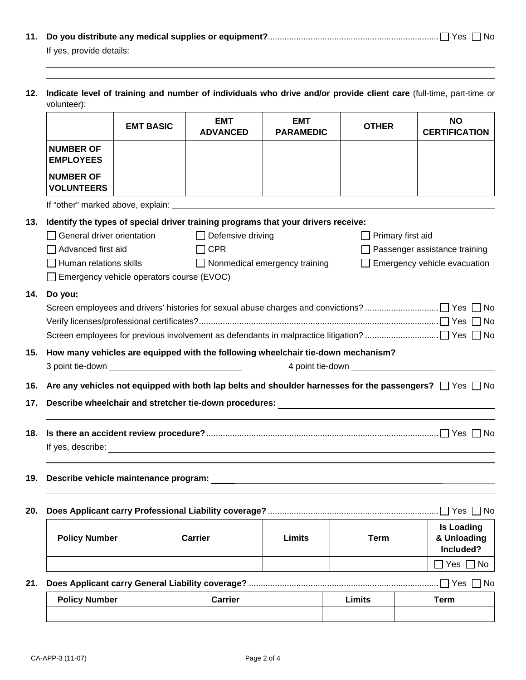| If yes, provide details: |  |
|--------------------------|--|

**12. Indicate level of training and number of individuals who drive and/or provide client care** (full-time, part-time or volunteer):

|                                                                                                                          | <b>EMT BASIC</b>                                                                  | <b>EMT</b>                                                                                                                                                                                                                             | <b>EMT</b>                           | <b>OTHER</b>  | <b>NO</b>                           |  |  |
|--------------------------------------------------------------------------------------------------------------------------|-----------------------------------------------------------------------------------|----------------------------------------------------------------------------------------------------------------------------------------------------------------------------------------------------------------------------------------|--------------------------------------|---------------|-------------------------------------|--|--|
|                                                                                                                          |                                                                                   | <b>ADVANCED</b>                                                                                                                                                                                                                        | <b>PARAMEDIC</b>                     |               | <b>CERTIFICATION</b>                |  |  |
| <b>NUMBER OF</b><br><b>EMPLOYEES</b>                                                                                     |                                                                                   |                                                                                                                                                                                                                                        |                                      |               |                                     |  |  |
| <b>NUMBER OF</b><br><b>VOLUNTEERS</b>                                                                                    |                                                                                   |                                                                                                                                                                                                                                        |                                      |               |                                     |  |  |
|                                                                                                                          |                                                                                   |                                                                                                                                                                                                                                        |                                      |               |                                     |  |  |
|                                                                                                                          | Identify the types of special driver training programs that your drivers receive: |                                                                                                                                                                                                                                        |                                      |               |                                     |  |  |
| General driver orientation                                                                                               |                                                                                   | $\Box$ Defensive driving                                                                                                                                                                                                               |                                      |               | Primary first aid                   |  |  |
| Advanced first aid                                                                                                       |                                                                                   | $\Box$ CPR                                                                                                                                                                                                                             |                                      |               | Passenger assistance training       |  |  |
| Human relations skills                                                                                                   |                                                                                   |                                                                                                                                                                                                                                        | $\Box$ Nonmedical emergency training |               | $\Box$ Emergency vehicle evacuation |  |  |
|                                                                                                                          | Emergency vehicle operators course (EVOC)                                         |                                                                                                                                                                                                                                        |                                      |               |                                     |  |  |
| Do you:                                                                                                                  |                                                                                   |                                                                                                                                                                                                                                        |                                      |               |                                     |  |  |
|                                                                                                                          |                                                                                   |                                                                                                                                                                                                                                        |                                      |               |                                     |  |  |
|                                                                                                                          |                                                                                   |                                                                                                                                                                                                                                        |                                      |               |                                     |  |  |
|                                                                                                                          |                                                                                   |                                                                                                                                                                                                                                        |                                      |               |                                     |  |  |
|                                                                                                                          |                                                                                   | How many vehicles are equipped with the following wheelchair tie-down mechanism?                                                                                                                                                       |                                      |               |                                     |  |  |
|                                                                                                                          |                                                                                   |                                                                                                                                                                                                                                        |                                      |               |                                     |  |  |
| Are any vehicles not equipped with both lap belts and shoulder harnesses for the passengers? $\Box$ Yes $\Box$ No<br>16. |                                                                                   |                                                                                                                                                                                                                                        |                                      |               |                                     |  |  |
| 17.                                                                                                                      |                                                                                   |                                                                                                                                                                                                                                        |                                      |               |                                     |  |  |
|                                                                                                                          |                                                                                   |                                                                                                                                                                                                                                        |                                      |               |                                     |  |  |
|                                                                                                                          |                                                                                   |                                                                                                                                                                                                                                        |                                      |               |                                     |  |  |
|                                                                                                                          |                                                                                   |                                                                                                                                                                                                                                        |                                      |               |                                     |  |  |
|                                                                                                                          |                                                                                   |                                                                                                                                                                                                                                        |                                      |               |                                     |  |  |
|                                                                                                                          |                                                                                   | Describe vehicle maintenance program:<br><u> and a contract of the contract of the contract of the contract of the contract of the contract of the contract of the contract of the contract of the contract of the contract of the</u> |                                      |               |                                     |  |  |
|                                                                                                                          |                                                                                   |                                                                                                                                                                                                                                        |                                      |               |                                     |  |  |
| $\Box$ Yes $\Box$ No<br>20.                                                                                              |                                                                                   |                                                                                                                                                                                                                                        |                                      |               |                                     |  |  |
|                                                                                                                          |                                                                                   |                                                                                                                                                                                                                                        |                                      |               | <b>Is Loading</b>                   |  |  |
|                                                                                                                          |                                                                                   |                                                                                                                                                                                                                                        |                                      |               |                                     |  |  |
| <b>Policy Number</b>                                                                                                     |                                                                                   | <b>Carrier</b>                                                                                                                                                                                                                         | <b>Limits</b>                        | <b>Term</b>   | & Unloading                         |  |  |
|                                                                                                                          |                                                                                   |                                                                                                                                                                                                                                        |                                      |               | Included?<br>Yes<br>No              |  |  |
|                                                                                                                          |                                                                                   |                                                                                                                                                                                                                                        |                                      |               |                                     |  |  |
| <b>Policy Number</b>                                                                                                     |                                                                                   | <b>Carrier</b>                                                                                                                                                                                                                         |                                      | <b>Limits</b> | $\Box$ Yes $\Box$ No<br><b>Term</b> |  |  |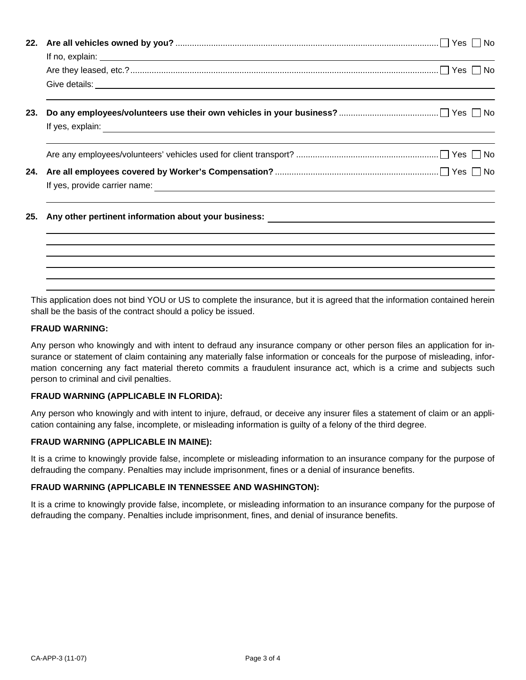|     | If no, explain: <u>example and the set of the set of the set of the set of the set of the set of the set of the set of the set of the set of the set of the set of the set of the set of the set of the set of the set of the se</u> |  |  |  |
|-----|--------------------------------------------------------------------------------------------------------------------------------------------------------------------------------------------------------------------------------------|--|--|--|
|     |                                                                                                                                                                                                                                      |  |  |  |
|     | Give details: <u>Contract of the Contract of the Contract of the Contract of the Contract of the Contract of the Contract of the Contract of the Contract of the Contract of the Contract of the Contract of the Contract of the</u> |  |  |  |
| 23. |                                                                                                                                                                                                                                      |  |  |  |
|     |                                                                                                                                                                                                                                      |  |  |  |
|     |                                                                                                                                                                                                                                      |  |  |  |
|     |                                                                                                                                                                                                                                      |  |  |  |
|     |                                                                                                                                                                                                                                      |  |  |  |
| 25. |                                                                                                                                                                                                                                      |  |  |  |
|     |                                                                                                                                                                                                                                      |  |  |  |
|     |                                                                                                                                                                                                                                      |  |  |  |
|     |                                                                                                                                                                                                                                      |  |  |  |

This application does not bind YOU or US to complete the insurance, but it is agreed that the information contained herein shall be the basis of the contract should a policy be issued.

#### **FRAUD WARNING:**

Any person who knowingly and with intent to defraud any insurance company or other person files an application for insurance or statement of claim containing any materially false information or conceals for the purpose of misleading, information concerning any fact material thereto commits a fraudulent insurance act, which is a crime and subjects such person to criminal and civil penalties.

#### **FRAUD WARNING (APPLICABLE IN FLORIDA):**

Any person who knowingly and with intent to injure, defraud, or deceive any insurer files a statement of claim or an application containing any false, incomplete, or misleading information is guilty of a felony of the third degree.

#### **FRAUD WARNING (APPLICABLE IN MAINE):**

It is a crime to knowingly provide false, incomplete or misleading information to an insurance company for the purpose of defrauding the company. Penalties may include imprisonment, fines or a denial of insurance benefits.

## **FRAUD WARNING (APPLICABLE IN TENNESSEE AND WASHINGTON):**

It is a crime to knowingly provide false, incomplete, or misleading information to an insurance company for the purpose of defrauding the company. Penalties include imprisonment, fines, and denial of insurance benefits.